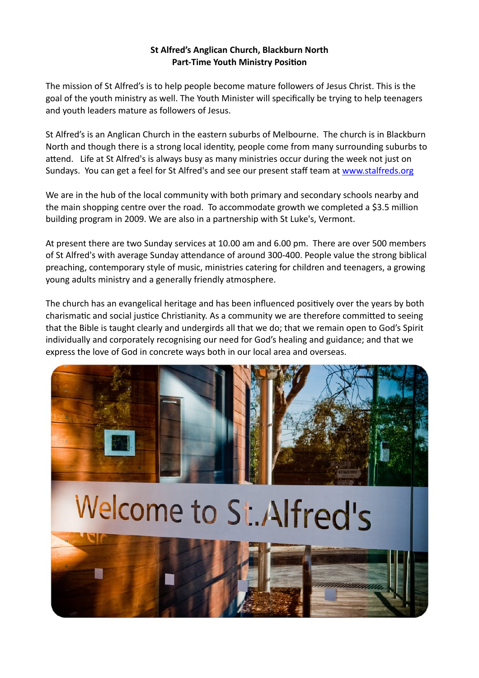## **St Alfred's Anglican Church, Blackburn North Part-Time Youth Ministry Position**

The mission of St Alfred's is to help people become mature followers of Jesus Christ. This is the goal of the youth ministry as well. The Youth Minister will specifically be trying to help teenagers and youth leaders mature as followers of Jesus.

St Alfred's is an Anglican Church in the eastern suburbs of Melbourne. The church is in Blackburn North and though there is a strong local identity, people come from many surrounding suburbs to attend. Life at St Alfred's is always busy as many ministries occur during the week not just on Sundays. You can get a feel for St Alfred's and see our present staff team at www.stalfreds.org

We are in the hub of the local community with both primary and secondary schools nearby and the main shopping centre over the road. To accommodate growth we completed a \$3.5 million building program in 2009. We are also in a partnership with St Luke's, Vermont.

At present there are two Sunday services at 10.00 am and 6.00 pm. There are over 500 members of St Alfred's with average Sunday attendance of around 300-400. People value the strong biblical preaching, contemporary style of music, ministries catering for children and teenagers, a growing young adults ministry and a generally friendly atmosphere.

The church has an evangelical heritage and has been influenced positively over the years by both charismatic and social justice Christianity. As a community we are therefore committed to seeing that the Bible is taught clearly and undergirds all that we do; that we remain open to God's Spirit individually and corporately recognising our need for God's healing and guidance; and that we express the love of God in concrete ways both in our local area and overseas.



# Welcome to St. Alfred's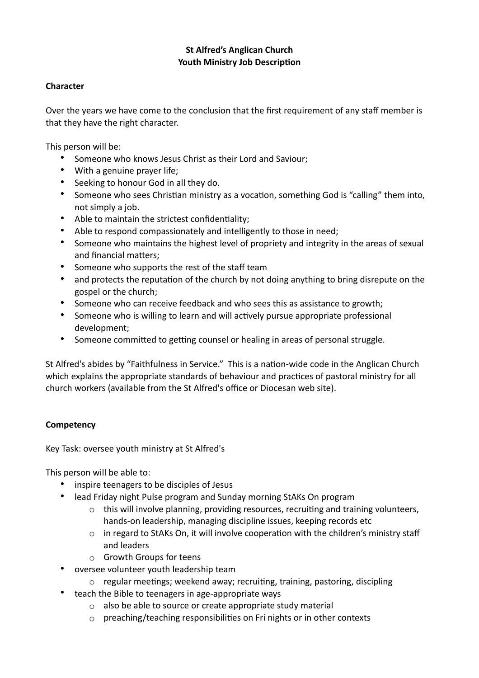## **St Alfred's Anglican Church Youth Ministry Job Description**

## **Character**

Over the years we have come to the conclusion that the first requirement of any staff member is that they have the right character.

This person will be:

- Someone who knows Jesus Christ as their Lord and Saviour;
- With a genuine prayer life;
- Seeking to honour God in all they do.
- Someone who sees Christian ministry as a vocation, something God is "calling" them into, not simply a job.
- Able to maintain the strictest confidentiality;
- Able to respond compassionately and intelligently to those in need;
- Someone who maintains the highest level of propriety and integrity in the areas of sexual and financial matters:
- Someone who supports the rest of the staff team
- and protects the reputation of the church by not doing anything to bring disrepute on the gospel or the church;
- Someone who can receive feedback and who sees this as assistance to growth;
- Someone who is willing to learn and will actively pursue appropriate professional development;
- Someone committed to getting counsel or healing in areas of personal struggle.

St Alfred's abides by "Faithfulness in Service." This is a nation-wide code in the Anglican Church which explains the appropriate standards of behaviour and practices of pastoral ministry for all church workers (available from the St Alfred's office or Diocesan web site).

## **Competency**

Key Task: oversee youth ministry at St Alfred's

This person will be able to:

- inspire teenagers to be disciples of Jesus
- lead Friday night Pulse program and Sunday morning StAKs On program
	- $\circ$  this will involve planning, providing resources, recruiting and training volunteers, hands-on leadership, managing discipline issues, keeping records etc
	- $\circ$  in regard to StAKs On, it will involve cooperation with the children's ministry staff and leaders
	- o Growth Groups for teens
- oversee volunteer youth leadership team
	- $\circ$  regular meetings; weekend away; recruiting, training, pastoring, discipling
- teach the Bible to teenagers in age-appropriate ways
	- o also be able to source or create appropriate study material
	- $\circ$  preaching/teaching responsibilities on Fri nights or in other contexts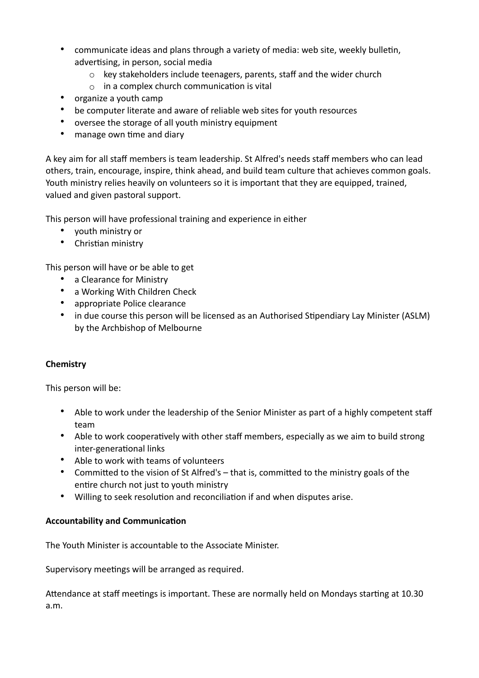- communicate ideas and plans through a variety of media: web site, weekly bulletin, advertising, in person, social media
	- $\circ$  key stakeholders include teenagers, parents, staff and the wider church
	- $\circ$  in a complex church communication is vital
- organize a youth camp
- be computer literate and aware of reliable web sites for youth resources
- oversee the storage of all youth ministry equipment
- manage own time and diary

A key aim for all staff members is team leadership. St Alfred's needs staff members who can lead others, train, encourage, inspire, think ahead, and build team culture that achieves common goals. Youth ministry relies heavily on volunteers so it is important that they are equipped, trained, valued and given pastoral support.

This person will have professional training and experience in either

- youth ministry or
- Christian ministry

This person will have or be able to get

- a Clearance for Ministry
- a Working With Children Check
- appropriate Police clearance
- in due course this person will be licensed as an Authorised Stipendiary Lay Minister (ASLM) by the Archbishop of Melbourne

## **Chemistry**

This person will be:

- Able to work under the leadership of the Senior Minister as part of a highly competent staff team
- Able to work cooperatively with other staff members, especially as we aim to build strong inter-generational links
- Able to work with teams of volunteers
- Committed to the vision of St Alfred's that is, committed to the ministry goals of the entire church not just to youth ministry
- Willing to seek resolution and reconciliation if and when disputes arise.

#### **Accountability and Communication**

The Youth Minister is accountable to the Associate Minister.

Supervisory meetings will be arranged as required.

Attendance at staff meetings is important. These are normally held on Mondays starting at 10.30 a.m.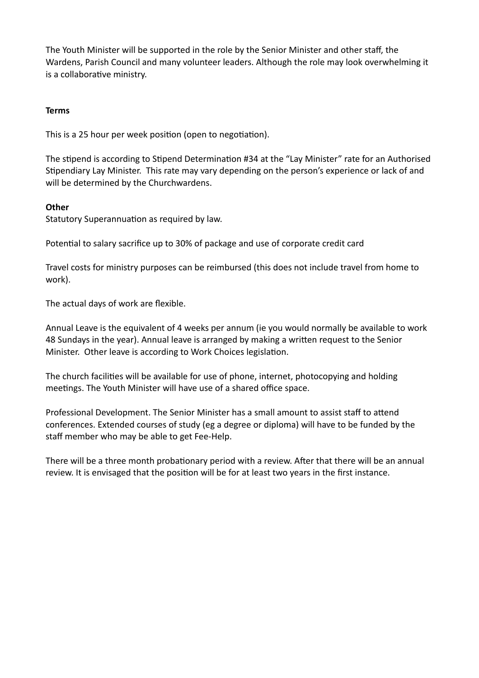The Youth Minister will be supported in the role by the Senior Minister and other staff, the Wardens, Parish Council and many volunteer leaders. Although the role may look overwhelming it is a collaborative ministry.

## **Terms**

This is a 25 hour per week position (open to negotiation).

The stipend is according to Stipend Determination #34 at the "Lay Minister" rate for an Authorised Stipendiary Lay Minister. This rate may vary depending on the person's experience or lack of and will be determined by the Churchwardens.

# **Other**

Statutory Superannuation as required by law.

Potential to salary sacrifice up to 30% of package and use of corporate credit card

Travel costs for ministry purposes can be reimbursed (this does not include travel from home to work).

The actual days of work are flexible.

Annual Leave is the equivalent of 4 weeks per annum (ie you would normally be available to work 48 Sundays in the year). Annual leave is arranged by making a written request to the Senior Minister. Other leave is according to Work Choices legislation.

The church facilities will be available for use of phone, internet, photocopying and holding meetings. The Youth Minister will have use of a shared office space.

Professional Development. The Senior Minister has a small amount to assist staff to attend conferences. Extended courses of study (eg a degree or diploma) will have to be funded by the staff member who may be able to get Fee-Help.

There will be a three month probationary period with a review. After that there will be an annual review. It is envisaged that the position will be for at least two years in the first instance.